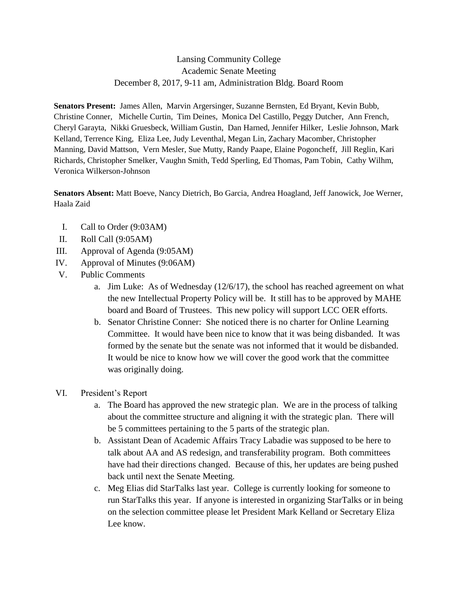## Lansing Community College Academic Senate Meeting December 8, 2017, 9-11 am, Administration Bldg. Board Room

**Senators Present:** James Allen, Marvin Argersinger, Suzanne Bernsten, Ed Bryant, Kevin Bubb, Christine Conner, Michelle Curtin, Tim Deines, Monica Del Castillo, Peggy Dutcher, Ann French, Cheryl Garayta, Nikki Gruesbeck, William Gustin, Dan Harned, Jennifer Hilker, Leslie Johnson, Mark Kelland, Terrence King, Eliza Lee, Judy Leventhal, Megan Lin, Zachary Macomber, Christopher Manning, David Mattson, Vern Mesler, Sue Mutty, Randy Paape, Elaine Pogoncheff, Jill Reglin, Kari Richards, Christopher Smelker, Vaughn Smith, Tedd Sperling, Ed Thomas, Pam Tobin, Cathy Wilhm, Veronica Wilkerson-Johnson

**Senators Absent:** Matt Boeve, Nancy Dietrich, Bo Garcia, Andrea Hoagland, Jeff Janowick, Joe Werner, Haala Zaid

- I. Call to Order (9:03AM)
- II. Roll Call (9:05AM)
- III. Approval of Agenda (9:05AM)
- IV. Approval of Minutes (9:06AM)
- V. Public Comments
	- a. Jim Luke: As of Wednesday (12/6/17), the school has reached agreement on what the new Intellectual Property Policy will be. It still has to be approved by MAHE board and Board of Trustees. This new policy will support LCC OER efforts.
	- b. Senator Christine Conner: She noticed there is no charter for Online Learning Committee. It would have been nice to know that it was being disbanded. It was formed by the senate but the senate was not informed that it would be disbanded. It would be nice to know how we will cover the good work that the committee was originally doing.
- VI. President's Report
	- a. The Board has approved the new strategic plan. We are in the process of talking about the committee structure and aligning it with the strategic plan. There will be 5 committees pertaining to the 5 parts of the strategic plan.
	- b. Assistant Dean of Academic Affairs Tracy Labadie was supposed to be here to talk about AA and AS redesign, and transferability program. Both committees have had their directions changed. Because of this, her updates are being pushed back until next the Senate Meeting.
	- c. Meg Elias did StarTalks last year. College is currently looking for someone to run StarTalks this year. If anyone is interested in organizing StarTalks or in being on the selection committee please let President Mark Kelland or Secretary Eliza Lee know.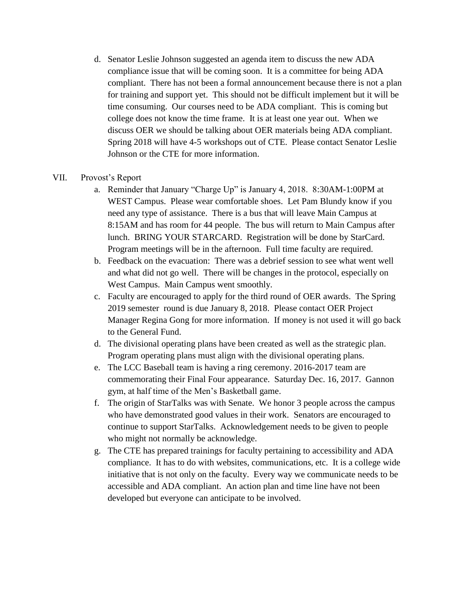- d. Senator Leslie Johnson suggested an agenda item to discuss the new ADA compliance issue that will be coming soon. It is a committee for being ADA compliant. There has not been a formal announcement because there is not a plan for training and support yet. This should not be difficult implement but it will be time consuming. Our courses need to be ADA compliant. This is coming but college does not know the time frame. It is at least one year out. When we discuss OER we should be talking about OER materials being ADA compliant. Spring 2018 will have 4-5 workshops out of CTE. Please contact Senator Leslie Johnson or the CTE for more information.
- VII. Provost's Report
	- a. Reminder that January "Charge Up" is January 4, 2018. 8:30AM-1:00PM at WEST Campus. Please wear comfortable shoes. Let Pam Blundy know if you need any type of assistance. There is a bus that will leave Main Campus at 8:15AM and has room for 44 people. The bus will return to Main Campus after lunch. BRING YOUR STARCARD. Registration will be done by StarCard. Program meetings will be in the afternoon. Full time faculty are required.
	- b. Feedback on the evacuation: There was a debrief session to see what went well and what did not go well. There will be changes in the protocol, especially on West Campus. Main Campus went smoothly.
	- c. Faculty are encouraged to apply for the third round of OER awards. The Spring 2019 semester round is due January 8, 2018. Please contact OER Project Manager Regina Gong for more information. If money is not used it will go back to the General Fund.
	- d. The divisional operating plans have been created as well as the strategic plan. Program operating plans must align with the divisional operating plans.
	- e. The LCC Baseball team is having a ring ceremony. 2016-2017 team are commemorating their Final Four appearance. Saturday Dec. 16, 2017. Gannon gym, at half time of the Men's Basketball game.
	- f. The origin of StarTalks was with Senate. We honor 3 people across the campus who have demonstrated good values in their work. Senators are encouraged to continue to support StarTalks. Acknowledgement needs to be given to people who might not normally be acknowledge.
	- g. The CTE has prepared trainings for faculty pertaining to accessibility and ADA compliance. It has to do with websites, communications, etc. It is a college wide initiative that is not only on the faculty. Every way we communicate needs to be accessible and ADA compliant. An action plan and time line have not been developed but everyone can anticipate to be involved.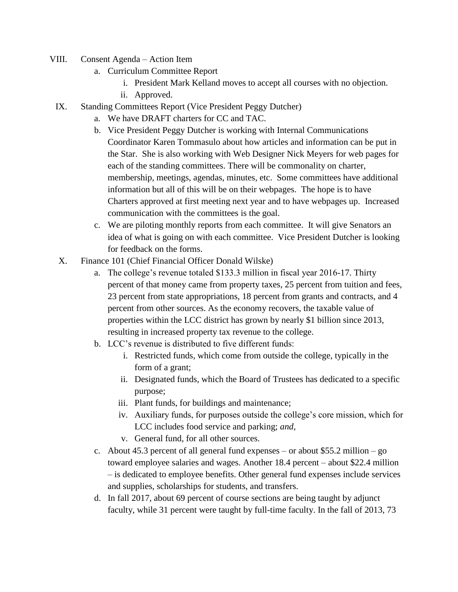- VIII. Consent Agenda Action Item
	- a. Curriculum Committee Report
		- i. President Mark Kelland moves to accept all courses with no objection.
		- ii. Approved.
	- IX. Standing Committees Report (Vice President Peggy Dutcher)
		- a. We have DRAFT charters for CC and TAC.
		- b. Vice President Peggy Dutcher is working with Internal Communications Coordinator Karen Tommasulo about how articles and information can be put in the Star. She is also working with Web Designer Nick Meyers for web pages for each of the standing committees. There will be commonality on charter, membership, meetings, agendas, minutes, etc. Some committees have additional information but all of this will be on their webpages. The hope is to have Charters approved at first meeting next year and to have webpages up. Increased communication with the committees is the goal.
		- c. We are piloting monthly reports from each committee. It will give Senators an idea of what is going on with each committee. Vice President Dutcher is looking for feedback on the forms.
	- X. Finance 101 (Chief Financial Officer Donald Wilske)
		- a. The college's revenue totaled \$133.3 million in fiscal year 2016-17. Thirty percent of that money came from property taxes, 25 percent from tuition and fees, 23 percent from state appropriations, 18 percent from grants and contracts, and 4 percent from other sources. As the economy recovers, the taxable value of properties within the LCC district has grown by nearly \$1 billion since 2013, resulting in increased property tax revenue to the college.
		- b. LCC's revenue is distributed to five different funds:
			- i. Restricted funds, which come from outside the college, typically in the form of a grant;
			- ii. Designated funds, which the Board of Trustees has dedicated to a specific purpose;
			- iii. Plant funds, for buildings and maintenance;
			- iv. Auxiliary funds, for purposes outside the college's core mission, which for LCC includes food service and parking; *and,*
			- v. General fund, for all other sources.
		- c. About  $45.3$  percent of all general fund expenses or about \$55.2 million go toward employee salaries and wages. Another 18.4 percent – about \$22.4 million – is dedicated to employee benefits. Other general fund expenses include services and supplies, scholarships for students, and transfers.
		- d. In fall 2017, about 69 percent of course sections are being taught by adjunct faculty, while 31 percent were taught by full-time faculty. In the fall of 2013, 73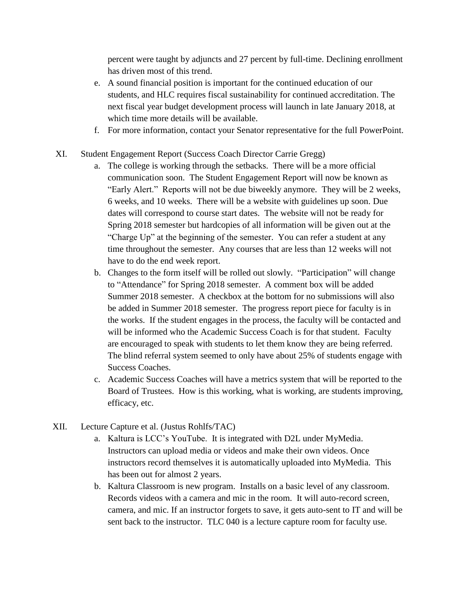percent were taught by adjuncts and 27 percent by full-time. Declining enrollment has driven most of this trend.

- e. A sound financial position is important for the continued education of our students, and HLC requires fiscal sustainability for continued accreditation. The next fiscal year budget development process will launch in late January 2018, at which time more details will be available.
- f. For more information, contact your Senator representative for the full PowerPoint.
- XI. Student Engagement Report (Success Coach Director Carrie Gregg)
	- a. The college is working through the setbacks. There will be a more official communication soon. The Student Engagement Report will now be known as "Early Alert." Reports will not be due biweekly anymore. They will be 2 weeks, 6 weeks, and 10 weeks. There will be a website with guidelines up soon. Due dates will correspond to course start dates. The website will not be ready for Spring 2018 semester but hardcopies of all information will be given out at the "Charge Up" at the beginning of the semester. You can refer a student at any time throughout the semester. Any courses that are less than 12 weeks will not have to do the end week report.
	- b. Changes to the form itself will be rolled out slowly. "Participation" will change to "Attendance" for Spring 2018 semester. A comment box will be added Summer 2018 semester. A checkbox at the bottom for no submissions will also be added in Summer 2018 semester. The progress report piece for faculty is in the works. If the student engages in the process, the faculty will be contacted and will be informed who the Academic Success Coach is for that student. Faculty are encouraged to speak with students to let them know they are being referred. The blind referral system seemed to only have about 25% of students engage with Success Coaches.
	- c. Academic Success Coaches will have a metrics system that will be reported to the Board of Trustees. How is this working, what is working, are students improving, efficacy, etc.
- XII. Lecture Capture et al. (Justus Rohlfs/TAC)
	- a. Kaltura is LCC's YouTube. It is integrated with D2L under MyMedia. Instructors can upload media or videos and make their own videos. Once instructors record themselves it is automatically uploaded into MyMedia. This has been out for almost 2 years.
	- b. Kaltura Classroom is new program. Installs on a basic level of any classroom. Records videos with a camera and mic in the room. It will auto-record screen, camera, and mic. If an instructor forgets to save, it gets auto-sent to IT and will be sent back to the instructor. TLC 040 is a lecture capture room for faculty use.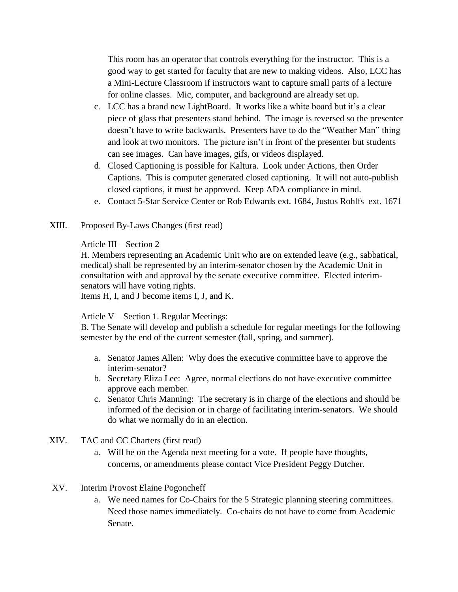This room has an operator that controls everything for the instructor. This is a good way to get started for faculty that are new to making videos. Also, LCC has a Mini-Lecture Classroom if instructors want to capture small parts of a lecture for online classes. Mic, computer, and background are already set up.

- c. LCC has a brand new LightBoard. It works like a white board but it's a clear piece of glass that presenters stand behind. The image is reversed so the presenter doesn't have to write backwards. Presenters have to do the "Weather Man" thing and look at two monitors. The picture isn't in front of the presenter but students can see images. Can have images, gifs, or videos displayed.
- d. Closed Captioning is possible for Kaltura. Look under Actions, then Order Captions. This is computer generated closed captioning. It will not auto-publish closed captions, it must be approved. Keep ADA compliance in mind.
- e. Contact 5-Star Service Center or Rob Edwards ext. 1684, Justus Rohlfs ext. 1671
- XIII. Proposed By-Laws Changes (first read)

## Article III – Section 2

H. Members representing an Academic Unit who are on extended leave (e.g., sabbatical, medical) shall be represented by an interim-senator chosen by the Academic Unit in consultation with and approval by the senate executive committee. Elected interimsenators will have voting rights.

Items H, I, and J become items I, J, and K.

## Article V – Section 1. Regular Meetings:

B. The Senate will develop and publish a schedule for regular meetings for the following semester by the end of the current semester (fall, spring, and summer).

- a. Senator James Allen: Why does the executive committee have to approve the interim-senator?
- b. Secretary Eliza Lee: Agree, normal elections do not have executive committee approve each member.
- c. Senator Chris Manning: The secretary is in charge of the elections and should be informed of the decision or in charge of facilitating interim-senators. We should do what we normally do in an election.
- XIV. TAC and CC Charters (first read)
	- a. Will be on the Agenda next meeting for a vote. If people have thoughts, concerns, or amendments please contact Vice President Peggy Dutcher.
- XV. Interim Provost Elaine Pogoncheff
	- a. We need names for Co-Chairs for the 5 Strategic planning steering committees. Need those names immediately. Co-chairs do not have to come from Academic Senate.